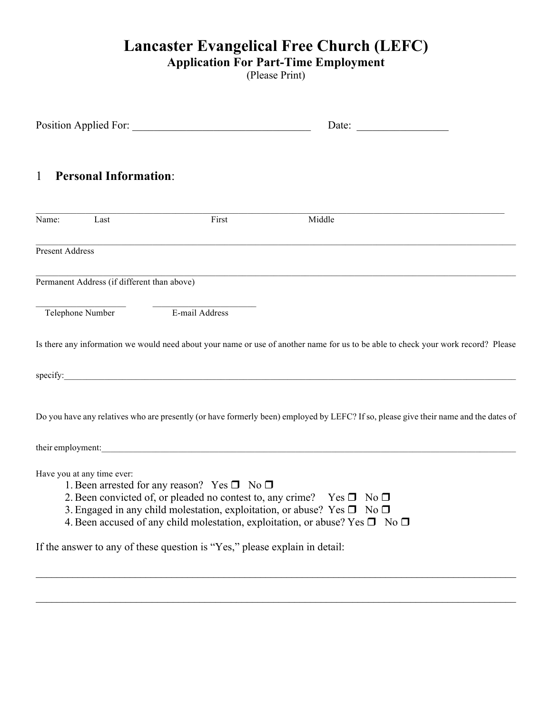# **Lancaster Evangelical Free Church (LEFC)**

#### **Application For Part-Time Employment**

(Please Print)

|                                                                            |                                                             | Date:                                                                                                                                                                                                                                                                            |  |  |  |  |
|----------------------------------------------------------------------------|-------------------------------------------------------------|----------------------------------------------------------------------------------------------------------------------------------------------------------------------------------------------------------------------------------------------------------------------------------|--|--|--|--|
| <b>Personal Information:</b><br>$\mathbf{1}$                               |                                                             |                                                                                                                                                                                                                                                                                  |  |  |  |  |
| Name:<br>Last                                                              | First                                                       | Middle                                                                                                                                                                                                                                                                           |  |  |  |  |
| <b>Present Address</b>                                                     |                                                             |                                                                                                                                                                                                                                                                                  |  |  |  |  |
| Permanent Address (if different than above)                                |                                                             |                                                                                                                                                                                                                                                                                  |  |  |  |  |
| Telephone Number                                                           | E-mail Address                                              |                                                                                                                                                                                                                                                                                  |  |  |  |  |
|                                                                            |                                                             | Is there any information we would need about your name or use of another name for us to be able to check your work record? Please                                                                                                                                                |  |  |  |  |
|                                                                            |                                                             | specify:                                                                                                                                                                                                                                                                         |  |  |  |  |
|                                                                            |                                                             | Do you have any relatives who are presently (or have formerly been) employed by LEFC? If so, please give their name and the dates of                                                                                                                                             |  |  |  |  |
|                                                                            |                                                             | their employment:                                                                                                                                                                                                                                                                |  |  |  |  |
| Have you at any time ever:                                                 | 1. Been arrested for any reason? Yes $\square$ No $\square$ | 2. Been convicted of, or pleaded no contest to, any crime? Yes $\square$ No $\square$<br>3. Engaged in any child molestation, exploitation, or abuse? Yes $\square$ No $\square$<br>4. Been accused of any child molestation, exploitation, or abuse? Yes $\square$ No $\square$ |  |  |  |  |
| If the answer to any of these question is "Yes," please explain in detail: |                                                             |                                                                                                                                                                                                                                                                                  |  |  |  |  |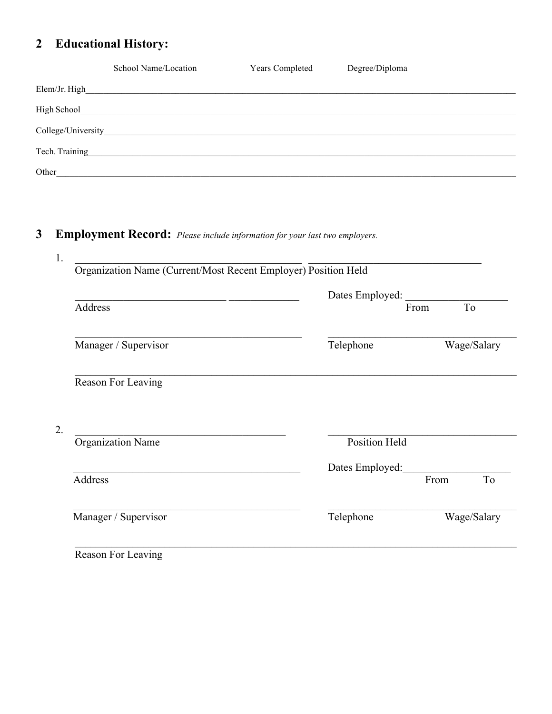#### **Educational History:**  $\overline{2}$

|                | School Name/Location                                                                                                  | Years Completed | Degree/Diploma |
|----------------|-----------------------------------------------------------------------------------------------------------------------|-----------------|----------------|
| Elem/Jr. High  | <u> 1989 - Johann Harry Harry Harry Harry Harry Harry Harry Harry Harry Harry Harry Harry Harry Harry Harry Harry</u> |                 |                |
| High School    |                                                                                                                       |                 |                |
|                |                                                                                                                       |                 |                |
| Tech. Training |                                                                                                                       |                 |                |
| Other          |                                                                                                                       |                 |                |

Employment Record: Please include information for your last two employers.  $\overline{\mathbf{3}}$ 

|                          | Dates Employed:      |             |  |
|--------------------------|----------------------|-------------|--|
| Address                  |                      | To<br>From  |  |
| Manager / Supervisor     | Telephone            | Wage/Salary |  |
| Reason For Leaving       |                      |             |  |
|                          |                      |             |  |
| <b>Organization Name</b> | <b>Position Held</b> |             |  |
|                          | Dates Employed:      |             |  |
| Address                  |                      | From<br>To  |  |

Reason For Leaving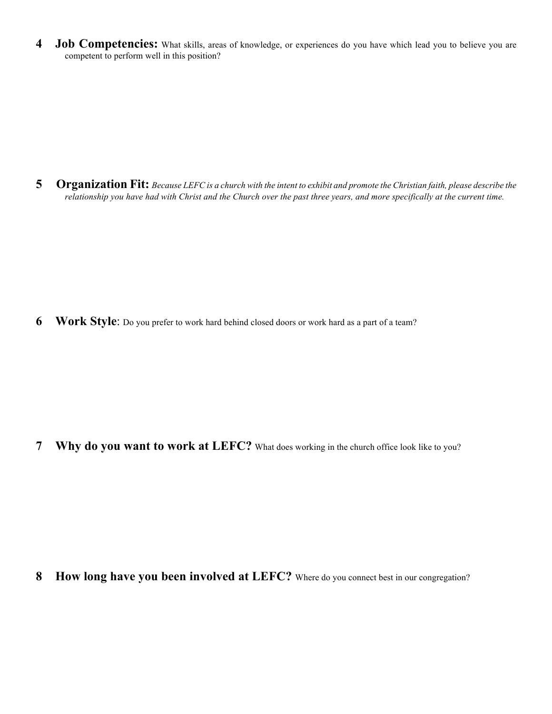**4 Job Competencies:** What skills, areas of knowledge, or experiences do you have which lead you to believe you are competent to perform well in this position?

**5 Organization Fit:** *Because LEFC is a church with the intent to exhibit and promote the Christian faith, please describe the relationship you have had with Christ and the Church over the past three years, and more specifically at the current time.*

**6 Work Style**: Do you prefer to work hard behind closed doors or work hard as a part of a team?

**7 Why do you want to work at LEFC?** What does working in the church office look like to you?

**8 How long have you been involved at LEFC?** Where do you connect best in our congregation?